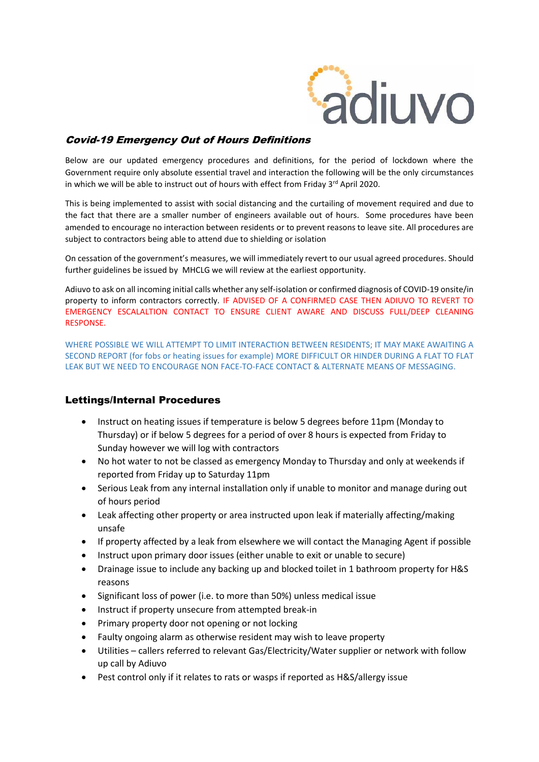

## Covid-19 Emergency Out of Hours Definitions

Below are our updated emergency procedures and definitions, for the period of lockdown where the Government require only absolute essential travel and interaction the following will be the only circumstances in which we will be able to instruct out of hours with effect from Friday  $3^{rd}$  April 2020.

This is being implemented to assist with social distancing and the curtailing of movement required and due to the fact that there are a smaller number of engineers available out of hours. Some procedures have been amended to encourage no interaction between residents or to prevent reasons to leave site. All procedures are subject to contractors being able to attend due to shielding or isolation

On cessation of the government's measures, we will immediately revert to our usual agreed procedures. Should further guidelines be issued by MHCLG we will review at the earliest opportunity.

Adiuvo to ask on all incoming initial calls whether any self-isolation or confirmed diagnosis of COVID-19 onsite/in property to inform contractors correctly. IF ADVISED OF A CONFIRMED CASE THEN ADIUVO TO REVERT TO EMERGENCY ESCALALTION CONTACT TO ENSURE CLIENT AWARE AND DISCUSS FULL/DEEP CLEANING RESPONSE.

WHERE POSSIBLE WE WILL ATTEMPT TO LIMIT INTERACTION BETWEEN RESIDENTS; IT MAY MAKE AWAITING A SECOND REPORT (for fobs or heating issues for example) MORE DIFFICULT OR HINDER DURING A FLAT TO FLAT LEAK BUT WE NEED TO ENCOURAGE NON FACE-TO-FACE CONTACT & ALTERNATE MEANS OF MESSAGING.

## Lettings/Internal Procedures

- Instruct on heating issues if temperature is below 5 degrees before 11pm (Monday to Thursday) or if below 5 degrees for a period of over 8 hours is expected from Friday to Sunday however we will log with contractors
- No hot water to not be classed as emergency Monday to Thursday and only at weekends if reported from Friday up to Saturday 11pm
- Serious Leak from any internal installation only if unable to monitor and manage during out of hours period
- Leak affecting other property or area instructed upon leak if materially affecting/making unsafe
- If property affected by a leak from elsewhere we will contact the Managing Agent if possible
- Instruct upon primary door issues (either unable to exit or unable to secure)
- Drainage issue to include any backing up and blocked toilet in 1 bathroom property for H&S reasons
- Significant loss of power (i.e. to more than 50%) unless medical issue
- Instruct if property unsecure from attempted break-in
- Primary property door not opening or not locking
- Faulty ongoing alarm as otherwise resident may wish to leave property
- Utilities callers referred to relevant Gas/Electricity/Water supplier or network with follow up call by Adiuvo
- Pest control only if it relates to rats or wasps if reported as H&S/allergy issue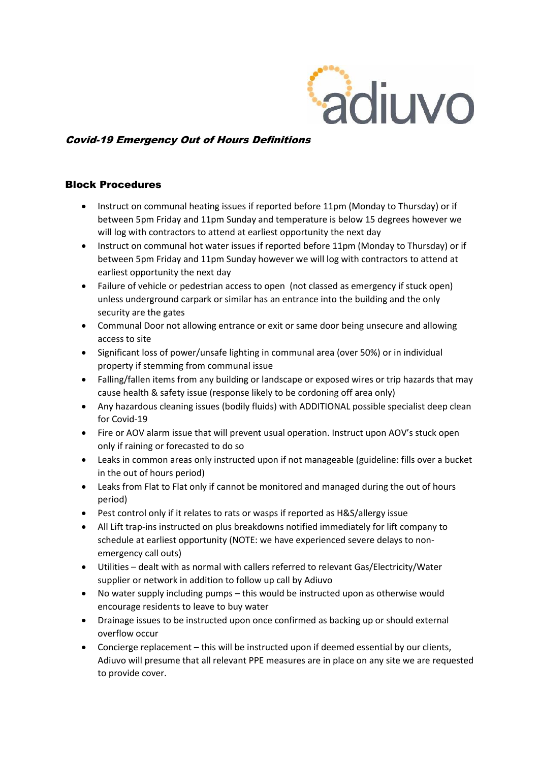

## Covid-19 Emergency Out of Hours Definitions

### Block Procedures

- Instruct on communal heating issues if reported before 11pm (Monday to Thursday) or if between 5pm Friday and 11pm Sunday and temperature is below 15 degrees however we will log with contractors to attend at earliest opportunity the next day
- Instruct on communal hot water issues if reported before 11pm (Monday to Thursday) or if between 5pm Friday and 11pm Sunday however we will log with contractors to attend at earliest opportunity the next day
- Failure of vehicle or pedestrian access to open (not classed as emergency if stuck open) unless underground carpark or similar has an entrance into the building and the only security are the gates
- Communal Door not allowing entrance or exit or same door being unsecure and allowing access to site
- Significant loss of power/unsafe lighting in communal area (over 50%) or in individual property if stemming from communal issue
- Falling/fallen items from any building or landscape or exposed wires or trip hazards that may cause health & safety issue (response likely to be cordoning off area only)
- Any hazardous cleaning issues (bodily fluids) with ADDITIONAL possible specialist deep clean for Covid-19
- Fire or AOV alarm issue that will prevent usual operation. Instruct upon AOV's stuck open only if raining or forecasted to do so
- Leaks in common areas only instructed upon if not manageable (guideline: fills over a bucket in the out of hours period)
- Leaks from Flat to Flat only if cannot be monitored and managed during the out of hours period)
- Pest control only if it relates to rats or wasps if reported as H&S/allergy issue
- All Lift trap-ins instructed on plus breakdowns notified immediately for lift company to schedule at earliest opportunity (NOTE: we have experienced severe delays to nonemergency call outs)
- Utilities dealt with as normal with callers referred to relevant Gas/Electricity/Water supplier or network in addition to follow up call by Adiuvo
- No water supply including pumps this would be instructed upon as otherwise would encourage residents to leave to buy water
- Drainage issues to be instructed upon once confirmed as backing up or should external overflow occur
- Concierge replacement this will be instructed upon if deemed essential by our clients, Adiuvo will presume that all relevant PPE measures are in place on any site we are requested to provide cover.